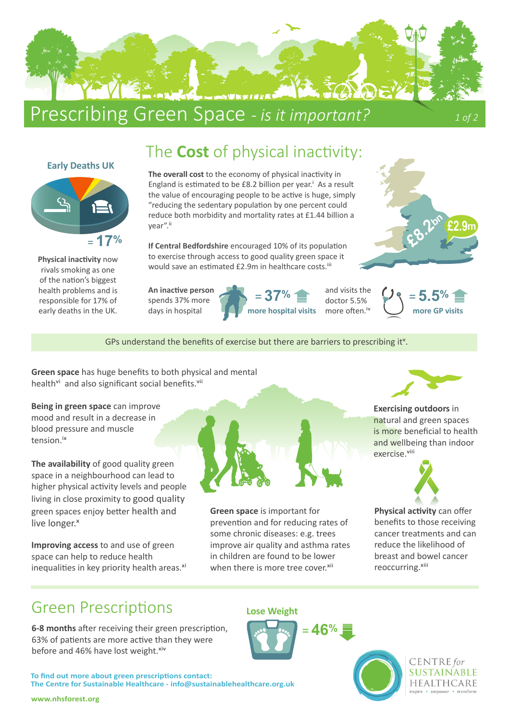

## Prescribing Green Space - is it important? 10f2

**£2.9m**

## The **Cost** of physical inactivity:



**Physical inactivity** now rivals smoking as one of the nation's biggest health problems and is responsible for 17% of early deaths in the UK.

**The overall cost** to the economy of physical inactivity in England is estimated to be  $E8.2$  billion per year.<sup>i</sup> As a result the value of encouraging people to be active is huge, simply "reducing the sedentary population by one percent could reduce both morbidity and mortality rates at £1.44 billion a vear".ii

**If Central Bedfordshire** encouraged 10% of its population to exercise through access to good quality green space it would save an estimated £2.9m in healthcare costs.<sup>iii</sup>

**An inactive person** spends 37% more days in hospital





**28.2** 

GPs understand the benefits of exercise but there are barriers to prescribing it<sup>v</sup>.

**Green space** has huge benefits to both physical and mental health<sup>vi</sup> and also significant social benefits.<sup>vii</sup>

**Being in green space** can improve mood and result in a decrease in blood pressure and muscle tension.ix

**The availability** of good quality green space in a neighbourhood can lead to higher physical activity levels and people living in close proximity to good quality green spaces enjoy better health and live longer.<sup>x</sup>

**Improving access** to and use of green space can help to reduce health inequalities in key priority health areas.<sup>xi</sup>



**Green space** is important for prevention and for reducing rates of some chronic diseases: e.g. trees improve air quality and asthma rates in children are found to be lower when there is more tree cover.<sup>xii</sup>

**Lose Weight**

= **46%**



**Exercising outdoors** in natural and green spaces is more beneficial to health and wellbeing than indoor exercise.viii



**Physical activity** can offer benefits to those receiving cancer treatments and can reduce the likelihood of breast and bowel cancer reoccurring.xiii

> **CENTRE** for SUSTAINABLE **HEALTHCARE** inspire • empower • transform

## Green Prescriptions

**6-8 months** after receiving their green prescription, 63% of patients are more active than they were before and 46% have lost weight. xiv

**To find out more about green prescriptions contact: The Centre for Sustainable Healthcare - info@sustainablehealthcare.org.uk**